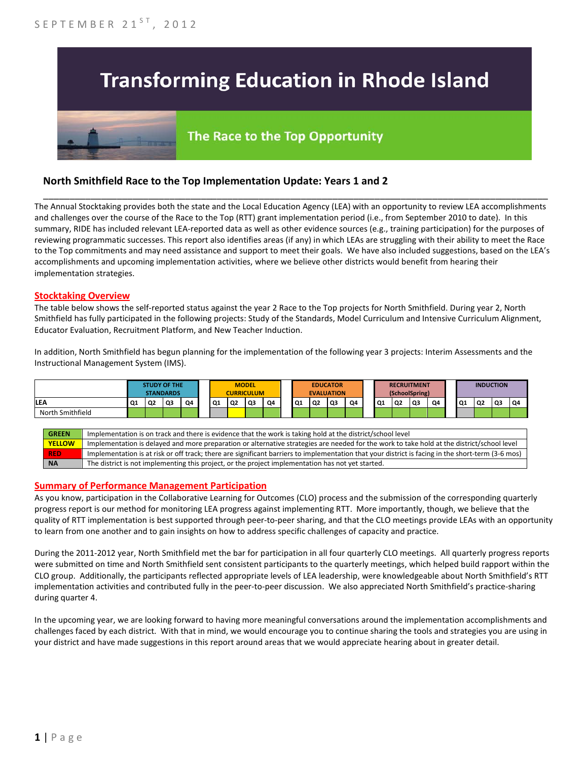# **Transforming Education in Rhode Island**

# The Race to the Top Opportunity

## **North Smithfield Race to the Top Implementation Update: Years 1 and 2**

The Annual Stocktaking provides both the state and the Local Education Agency (LEA) with an opportunity to review LEA accomplishments and challenges over the course of the Race to the Top (RTT) grant implementation period (i.e., from September 2010 to date). In this summary, RIDE has included relevant LEA-reported data as well as other evidence sources (e.g., training participation) for the purposes of reviewing programmatic successes. This report also identifies areas (if any) in which LEAs are struggling with their ability to meet the Race to the Top commitments and may need assistance and support to meet their goals. We have also included suggestions, based on the LEA's accomplishments and upcoming implementation activities, where we believe other districts would benefit from hearing their implementation strategies.

\_\_\_\_\_\_\_\_\_\_\_\_\_\_\_\_\_\_\_\_\_\_\_\_\_\_\_\_\_\_\_\_\_\_\_\_\_\_\_\_\_\_\_\_\_\_\_\_\_\_\_\_\_\_\_\_\_\_\_\_\_\_\_\_\_\_\_\_\_\_\_\_\_\_\_\_\_\_\_\_\_\_\_\_\_\_\_\_\_\_\_\_\_\_\_\_

#### **Stocktaking Overview**

The table below shows the self-reported status against the year 2 Race to the Top projects for North Smithfield. During year 2, North Smithfield has fully participated in the following projects: Study of the Standards, Model Curriculum and Intensive Curriculum Alignment, Educator Evaluation, Recruitment Platform, and New Teacher Induction.

In addition, North Smithfield has begun planning for the implementation of the following year 3 projects: Interim Assessments and the Instructional Management System (IMS).



#### **Summary of Performance Management Participation**

As you know, participation in the Collaborative Learning for Outcomes (CLO) process and the submission of the corresponding quarterly progress report is our method for monitoring LEA progress against implementing RTT. More importantly, though, we believe that the quality of RTT implementation is best supported through peer-to-peer sharing, and that the CLO meetings provide LEAs with an opportunity to learn from one another and to gain insights on how to address specific challenges of capacity and practice.

During the 2011-2012 year, North Smithfield met the bar for participation in all four quarterly CLO meetings. All quarterly progress reports were submitted on time and North Smithfield sent consistent participants to the quarterly meetings, which helped build rapport within the CLO group. Additionally, the participants reflected appropriate levels of LEA leadership, were knowledgeable about North Smithfield's RTT implementation activities and contributed fully in the peer-to-peer discussion. We also appreciated North Smithfield's practice-sharing during quarter 4.

In the upcoming year, we are looking forward to having more meaningful conversations around the implementation accomplishments and challenges faced by each district. With that in mind, we would encourage you to continue sharing the tools and strategies you are using in your district and have made suggestions in this report around areas that we would appreciate hearing about in greater detail.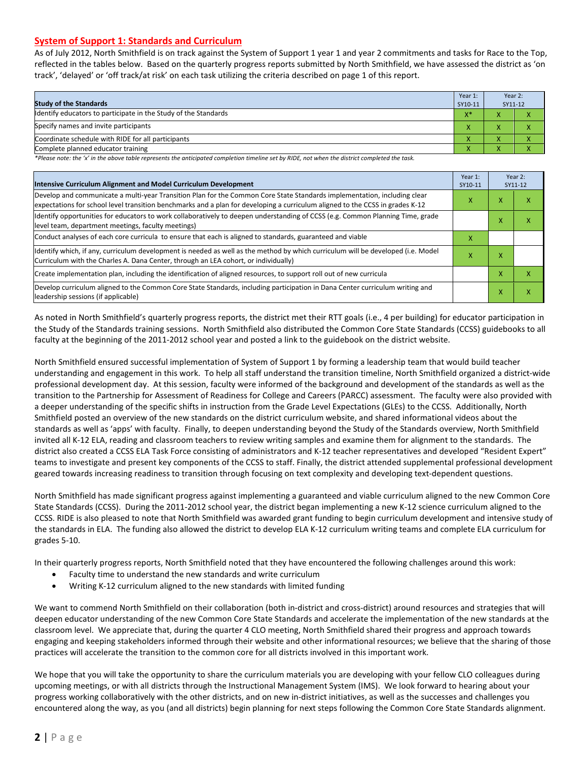#### **System of Support 1: Standards and Curriculum**

As of July 2012, North Smithfield is on track against the System of Support 1 year 1 and year 2 commitments and tasks for Race to the Top, reflected in the tables below. Based on the quarterly progress reports submitted by North Smithfield, we have assessed the district as 'on track', 'delayed' or 'off track/at risk' on each task utilizing the criteria described on page 1 of this report.

| <b>Study of the Standards</b>                                   | Year 1:<br>SY10-11 | Year 2:<br>SY11-12     |  |
|-----------------------------------------------------------------|--------------------|------------------------|--|
| Identify educators to participate in the Study of the Standards | $X^*$              |                        |  |
| Specify names and invite participants                           |                    |                        |  |
| Coordinate schedule with RIDE for all participants              |                    |                        |  |
| Complete planned educator training                              | '                  | $\mathbf{v}$<br>$\sim$ |  |

*\*Please note: the 'x' in the above table represents the anticipated completion timeline set by RIDE, not when the district completed the task.*

| Intensive Curriculum Alignment and Model Curriculum Development                                                                                                                                                                                           |   |   | Year 2:<br>SY11-12 |  |
|-----------------------------------------------------------------------------------------------------------------------------------------------------------------------------------------------------------------------------------------------------------|---|---|--------------------|--|
| Develop and communicate a multi-year Transition Plan for the Common Core State Standards implementation, including clear<br>expectations for school level transition benchmarks and a plan for developing a curriculum aligned to the CCSS in grades K-12 |   |   | ⋏                  |  |
| Identify opportunities for educators to work collaboratively to deepen understanding of CCSS (e.g. Common Planning Time, grade<br>level team, department meetings, faculty meetings)                                                                      |   |   | x                  |  |
| Conduct analyses of each core curricula to ensure that each is aligned to standards, guaranteed and viable                                                                                                                                                | х |   |                    |  |
| ldentify which, if any, curriculum development is needed as well as the method by which curriculum will be developed (i.e. Model<br>Curriculum with the Charles A. Dana Center, through an LEA cohort, or individually)                                   |   | x |                    |  |
| Create implementation plan, including the identification of aligned resources, to support roll out of new curricula                                                                                                                                       |   |   | x                  |  |
| Develop curriculum aligned to the Common Core State Standards, including participation in Dana Center curriculum writing and<br>leadership sessions (if applicable)                                                                                       |   | X | Χ                  |  |

As noted in North Smithfield's quarterly progress reports, the district met their RTT goals (i.e., 4 per building) for educator participation in the Study of the Standards training sessions. North Smithfield also distributed the Common Core State Standards (CCSS) guidebooks to all faculty at the beginning of the 2011-2012 school year and posted a link to the guidebook on the district website.

North Smithfield ensured successful implementation of System of Support 1 by forming a leadership team that would build teacher understanding and engagement in this work. To help all staff understand the transition timeline, North Smithfield organized a district-wide professional development day. At this session, faculty were informed of the background and development of the standards as well as the transition to the Partnership for Assessment of Readiness for College and Careers (PARCC) assessment. The faculty were also provided with a deeper understanding of the specific shifts in instruction from the Grade Level Expectations (GLEs) to the CCSS. Additionally, North Smithfield posted an overview of the new standards on the district curriculum website, and shared informational videos about the standards as well as 'apps' with faculty. Finally, to deepen understanding beyond the Study of the Standards overview, North Smithfield invited all K-12 ELA, reading and classroom teachers to review writing samples and examine them for alignment to the standards. The district also created a CCSS ELA Task Force consisting of administrators and K-12 teacher representatives and developed "Resident Expert" teams to investigate and present key components of the CCSS to staff. Finally, the district attended supplemental professional development geared towards increasing readiness to transition through focusing on text complexity and developing text-dependent questions.

North Smithfield has made significant progress against implementing a guaranteed and viable curriculum aligned to the new Common Core State Standards (CCSS). During the 2011-2012 school year, the district began implementing a new K-12 science curriculum aligned to the CCSS. RIDE is also pleased to note that North Smithfield was awarded grant funding to begin curriculum development and intensive study of the standards in ELA. The funding also allowed the district to develop ELA K-12 curriculum writing teams and complete ELA curriculum for grades 5-10.

In their quarterly progress reports, North Smithfield noted that they have encountered the following challenges around this work:

- Faculty time to understand the new standards and write curriculum
- Writing K-12 curriculum aligned to the new standards with limited funding

We want to commend North Smithfield on their collaboration (both in-district and cross-district) around resources and strategies that will deepen educator understanding of the new Common Core State Standards and accelerate the implementation of the new standards at the classroom level. We appreciate that, during the quarter 4 CLO meeting, North Smithfield shared their progress and approach towards engaging and keeping stakeholders informed through their website and other informational resources; we believe that the sharing of those practices will accelerate the transition to the common core for all districts involved in this important work.

We hope that you will take the opportunity to share the curriculum materials you are developing with your fellow CLO colleagues during upcoming meetings, or with all districts through the Instructional Management System (IMS). We look forward to hearing about your progress working collaboratively with the other districts, and on new in-district initiatives, as well as the successes and challenges you encountered along the way, as you (and all districts) begin planning for next steps following the Common Core State Standards alignment.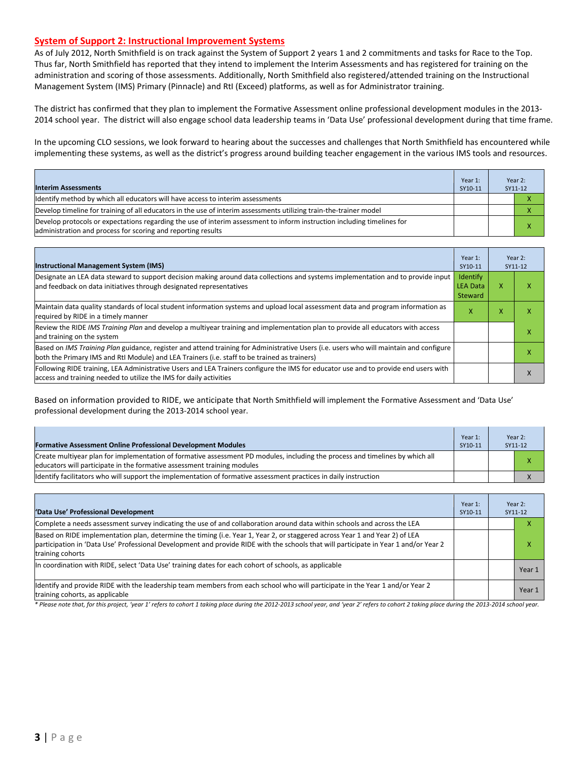#### **System of Support 2: Instructional Improvement Systems**

As of July 2012, North Smithfield is on track against the System of Support 2 years 1 and 2 commitments and tasks for Race to the Top. Thus far, North Smithfield has reported that they intend to implement the Interim Assessments and has registered for training on the administration and scoring of those assessments. Additionally, North Smithfield also registered/attended training on the Instructional Management System (IMS) Primary (Pinnacle) and RtI (Exceed) platforms, as well as for Administrator training.

The district has confirmed that they plan to implement the Formative Assessment online professional development modules in the 2013- 2014 school year. The district will also engage school data leadership teams in 'Data Use' professional development during that time frame.

In the upcoming CLO sessions, we look forward to hearing about the successes and challenges that North Smithfield has encountered while implementing these systems, as well as the district's progress around building teacher engagement in the various IMS tools and resources.

| <b>Interim Assessments</b>                                                                                                                                                              | Year 1:<br>SY10-11 | Year 2:<br>SY11-12 |
|-----------------------------------------------------------------------------------------------------------------------------------------------------------------------------------------|--------------------|--------------------|
| Identify method by which all educators will have access to interim assessments                                                                                                          |                    |                    |
| Develop timeline for training of all educators in the use of interim assessments utilizing train-the-trainer model                                                                      |                    |                    |
| Develop protocols or expectations regarding the use of interim assessment to inform instruction including timelines for<br>administration and process for scoring and reporting results |                    |                    |

| <b>Instructional Management System (IMS)</b>                                                                                                                                                                                           | Year 1:<br>SY10-11                            |   | Year 2:<br>SY11-12 |
|----------------------------------------------------------------------------------------------------------------------------------------------------------------------------------------------------------------------------------------|-----------------------------------------------|---|--------------------|
| Designate an LEA data steward to support decision making around data collections and systems implementation and to provide input<br>and feedback on data initiatives through designated representatives                                | Identify<br><b>LEA Data</b><br><b>Steward</b> | x |                    |
| Maintain data quality standards of local student information systems and upload local assessment data and program information as<br>required by RIDE in a timely manner                                                                | x                                             | x |                    |
| Review the RIDE IMS Training Plan and develop a multiyear training and implementation plan to provide all educators with access<br>and training on the system                                                                          |                                               |   |                    |
| Based on IMS Training Plan guidance, register and attend training for Administrative Users (i.e. users who will maintain and configure<br>both the Primary IMS and RtI Module) and LEA Trainers (i.e. staff to be trained as trainers) |                                               |   |                    |
| Following RIDE training, LEA Administrative Users and LEA Trainers configure the IMS for educator use and to provide end users with<br>access and training needed to utilize the IMS for daily activities                              |                                               |   |                    |

Based on information provided to RIDE, we anticipate that North Smithfield will implement the Formative Assessment and 'Data Use' professional development during the 2013-2014 school year.

| <b>Formative Assessment Online Professional Development Modules</b>                                                                                                                                      | Year 1:<br>SY10-11 | Year 2:<br>SY11-12 |
|----------------------------------------------------------------------------------------------------------------------------------------------------------------------------------------------------------|--------------------|--------------------|
| Create multivear plan for implementation of formative assessment PD modules, including the process and timelines by which all<br>educators will participate in the formative assessment training modules |                    | х                  |
| Identify facilitators who will support the implementation of formative assessment practices in daily instruction                                                                                         |                    |                    |

| 'Data Use' Professional Development                                                                                                                                                                                                                                                     | Year 1:<br>SY10-11 |  | Year 2:<br>SY11-12 |
|-----------------------------------------------------------------------------------------------------------------------------------------------------------------------------------------------------------------------------------------------------------------------------------------|--------------------|--|--------------------|
| Complete a needs assessment survey indicating the use of and collaboration around data within schools and across the LEA                                                                                                                                                                |                    |  |                    |
| Based on RIDE implementation plan, determine the timing (i.e. Year 1, Year 2, or staggered across Year 1 and Year 2) of LEA<br>participation in 'Data Use' Professional Development and provide RIDE with the schools that will participate in Year 1 and/or Year 2<br>training cohorts |                    |  | x                  |
| In coordination with RIDE, select 'Data Use' training dates for each cohort of schools, as applicable                                                                                                                                                                                   |                    |  | Year 1             |
| Identify and provide RIDE with the leadership team members from each school who will participate in the Year 1 and/or Year 2<br>training cohorts, as applicable                                                                                                                         |                    |  | Year 1             |

*\* Please note that, for this project, 'year 1' refers to cohort 1 taking place during the 2012-2013 school year, and 'year 2' refers to cohort 2 taking place during the 2013-2014 school year.*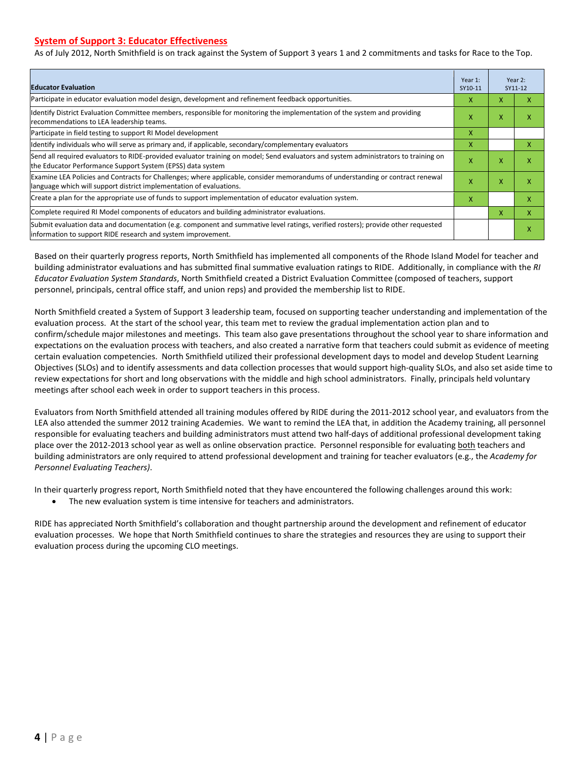#### **System of Support 3: Educator Effectiveness**

As of July 2012, North Smithfield is on track against the System of Support 3 years 1 and 2 commitments and tasks for Race to the Top.

| <b>Educator Evaluation</b>                                                                                                                                                                            |   |   | Year 2:<br>SY11-12 |
|-------------------------------------------------------------------------------------------------------------------------------------------------------------------------------------------------------|---|---|--------------------|
| Participate in educator evaluation model design, development and refinement feedback opportunities.                                                                                                   | x | X | x                  |
| Identify District Evaluation Committee members, responsible for monitoring the implementation of the system and providing<br>recommendations to LEA leadership teams.                                 | x |   | x                  |
| Participate in field testing to support RI Model development                                                                                                                                          |   |   |                    |
| Identify individuals who will serve as primary and, if applicable, secondary/complementary evaluators                                                                                                 | X |   | X                  |
| Send all required evaluators to RIDE-provided evaluator training on model; Send evaluators and system administrators to training on<br>the Educator Performance Support System (EPSS) data system     | X | X | X                  |
| Examine LEA Policies and Contracts for Challenges; where applicable, consider memorandums of understanding or contract renewal<br>language which will support district implementation of evaluations. | X | X | X                  |
| Create a plan for the appropriate use of funds to support implementation of educator evaluation system.                                                                                               |   |   | X                  |
| Complete required RI Model components of educators and building administrator evaluations.                                                                                                            |   |   | X                  |
| Submit evaluation data and documentation (e.g. component and summative level ratings, verified rosters); provide other requested<br>linformation to support RIDE research and system improvement.     |   |   | X                  |

Based on their quarterly progress reports, North Smithfield has implemented all components of the Rhode Island Model for teacher and building administrator evaluations and has submitted final summative evaluation ratings to RIDE. Additionally, in compliance with the *RI Educator Evaluation System Standards*, North Smithfield created a District Evaluation Committee (composed of teachers, support personnel, principals, central office staff, and union reps) and provided the membership list to RIDE.

North Smithfield created a System of Support 3 leadership team, focused on supporting teacher understanding and implementation of the evaluation process. At the start of the school year, this team met to review the gradual implementation action plan and to confirm/schedule major milestones and meetings. This team also gave presentations throughout the school year to share information and expectations on the evaluation process with teachers, and also created a narrative form that teachers could submit as evidence of meeting certain evaluation competencies. North Smithfield utilized their professional development days to model and develop Student Learning Objectives (SLOs) and to identify assessments and data collection processes that would support high-quality SLOs, and also set aside time to review expectations for short and long observations with the middle and high school administrators. Finally, principals held voluntary meetings after school each week in order to support teachers in this process.

Evaluators from North Smithfield attended all training modules offered by RIDE during the 2011-2012 school year, and evaluators from the LEA also attended the summer 2012 training Academies. We want to remind the LEA that, in addition the Academy training, all personnel responsible for evaluating teachers and building administrators must attend two half-days of additional professional development taking place over the 2012-2013 school year as well as online observation practice. Personnel responsible for evaluating both teachers and building administrators are only required to attend professional development and training for teacher evaluators (e.g., the *Academy for Personnel Evaluating Teachers)*.

In their quarterly progress report, North Smithfield noted that they have encountered the following challenges around this work:

The new evaluation system is time intensive for teachers and administrators.

RIDE has appreciated North Smithfield's collaboration and thought partnership around the development and refinement of educator evaluation processes. We hope that North Smithfield continues to share the strategies and resources they are using to support their evaluation process during the upcoming CLO meetings.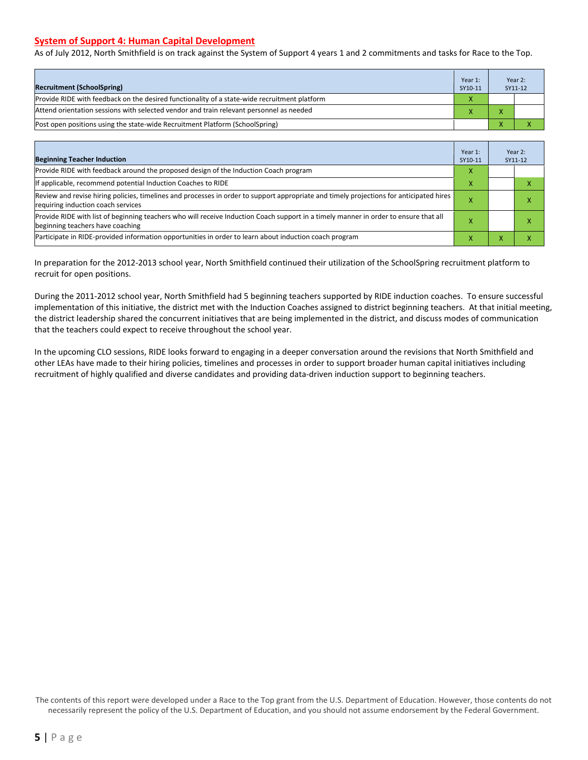#### **System of Support 4: Human Capital Development**

As of July 2012, North Smithfield is on track against the System of Support 4 years 1 and 2 commitments and tasks for Race to the Top.

| <b>Recruitment (SchoolSpring)</b>                                                            | Year 1:<br>SY10-11 |              | Year 2:<br>SY11-12 |
|----------------------------------------------------------------------------------------------|--------------------|--------------|--------------------|
| Provide RIDE with feedback on the desired functionality of a state-wide recruitment platform |                    |              |                    |
| Attend orientation sessions with selected vendor and train relevant personnel as needed      |                    |              |                    |
| (Post open positions using the state-wide Recruitment Platform (SchoolSpring)                |                    | $\mathbf{v}$ |                    |

| <b>Beginning Teacher Induction</b>                                                                                                                                            | Year 1:<br>SY10-11 |   | Year 2:<br>SY11-12 |
|-------------------------------------------------------------------------------------------------------------------------------------------------------------------------------|--------------------|---|--------------------|
| Provide RIDE with feedback around the proposed design of the Induction Coach program                                                                                          | x                  |   |                    |
| If applicable, recommend potential Induction Coaches to RIDE                                                                                                                  |                    |   |                    |
| Review and revise hiring policies, timelines and processes in order to support appropriate and timely projections for anticipated hires<br>requiring induction coach services |                    |   |                    |
| Provide RIDE with list of beginning teachers who will receive Induction Coach support in a timely manner in order to ensure that all<br>beginning teachers have coaching      |                    |   |                    |
| Participate in RIDE-provided information opportunities in order to learn about induction coach program                                                                        | ×                  | v |                    |

In preparation for the 2012-2013 school year, North Smithfield continued their utilization of the SchoolSpring recruitment platform to recruit for open positions.

During the 2011-2012 school year, North Smithfield had 5 beginning teachers supported by RIDE induction coaches. To ensure successful implementation of this initiative, the district met with the Induction Coaches assigned to district beginning teachers. At that initial meeting, the district leadership shared the concurrent initiatives that are being implemented in the district, and discuss modes of communication that the teachers could expect to receive throughout the school year.

In the upcoming CLO sessions, RIDE looks forward to engaging in a deeper conversation around the revisions that North Smithfield and other LEAs have made to their hiring policies, timelines and processes in order to support broader human capital initiatives including recruitment of highly qualified and diverse candidates and providing data-driven induction support to beginning teachers.

The contents of this report were developed under a Race to the Top grant from the U.S. Department of Education. However, those contents do not necessarily represent the policy of the U.S. Department of Education, and you should not assume endorsement by the Federal Government.